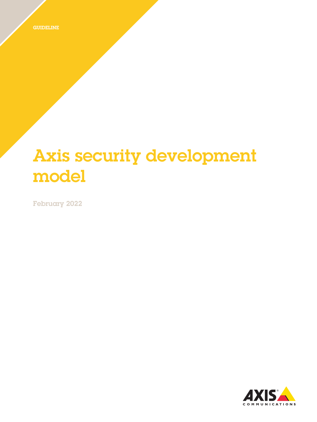# Axis security development model

February 2022

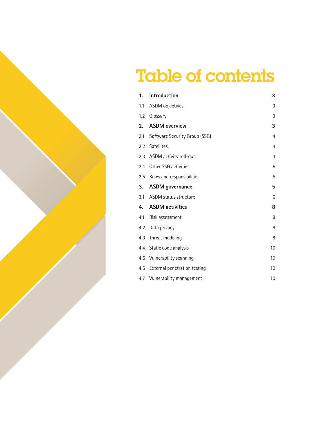# Table of contents

| 1.  | Introduction                     | 3  |
|-----|----------------------------------|----|
| 1.1 | ASDM objectives                  | 3  |
| 1.2 | Glossary                         | 3  |
| 2.  | <b>ASDM</b> overview             | 3  |
| 2.1 | Software Security Group (SSG)    | 4  |
|     | 2.2 Satellites                   | 4  |
|     | 2.3 ASDM activity roll-out       | 4  |
|     | 2.4 Other SSG activities         | 5  |
|     | 2.5 Roles and responsibilities   | 5  |
| 3.  | <b>ASDM</b> governance           | 5  |
| 3.1 | ASDM status structure            | 6  |
| 4.  | <b>ASDM</b> activities           | 8  |
| 4.1 | Risk assessment                  | 8  |
|     | 4.2 Data privacy                 | 8  |
|     | 4.3 Threat modeling              | 8  |
|     | 4.4 Static code analysis         | 10 |
|     | 4.5 Vulnerability scanning       | 10 |
|     | 4.6 External penetration testing | 10 |
|     | 4.7 Vulnerability management     | 10 |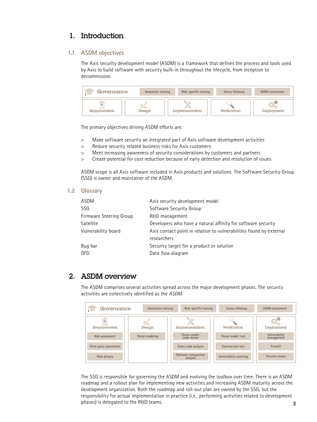## <span id="page-2-0"></span>1. Introduction

#### **1.1 ASDM objectives**

The Axis security development model (ASDM) is a framework that defines the process and tools used by Axis to build software with security built-in throughout the lifecycle, from inception to decommission.

| Governance                                | Awareness training | Role-specific training |              | ASDM assessment |
|-------------------------------------------|--------------------|------------------------|--------------|-----------------|
| $\overline{\alpha}$<br>--<br>Requirements | Design             | Implementation         | Verification | Deployment      |

The primary objectives driving ASDM efforts are:

- > Make software security an integrated part of Axis software development activities
- > Reduce security related business risks for Axis customers
- > Meet increasing awareness of security considerations by customers and partners
- > Create potential for cost reduction because of early detection and resolution of issues

ASDM scope is all Axis software included in Axis products and solutions. The Software Security Group (SSG) is owner and maintainer of the ASDM.

#### **1.2 Glossary**

| ASDM                    | Axis security development model                                     |
|-------------------------|---------------------------------------------------------------------|
| <b>SSG</b>              | Software Security Group                                             |
| Firmware Steering Group | R&D management                                                      |
| Satellite               | Developers who have a natural affinity for software security        |
| Vulnerability board     | Axis contact point in relation to vulnerabilities found by external |
|                         | researchers                                                         |
| Bug bar                 | Security target for a product or solution                           |
| <b>DFD</b>              | Data flow diagram                                                   |

### 2. ASDM overview

The ASDM comprises several activities spread across the major development phases. The security activities are collectively identified as the *ASDM*.

| Governance<br>Awareness training |                 | Role-specific training           | Status followup        | ASDM assessment             |
|----------------------------------|-----------------|----------------------------------|------------------------|-----------------------------|
| $\mathbb{Q}^0_0$<br>Requirements | Design          | Implementation                   | Verification           | Deployment                  |
| Risk assessment                  | Threat modeling | Threat model:<br>code review     | Threat model: test     | Vulnerability<br>management |
| Third-party assessment           |                 | Static code analysis             | External pen test      | Firedrill                   |
| Data privacy                     |                 | Software composition<br>analysis | Vulnerability scanning | Security status             |

The SSG is responsible for governing the ASDM and evolving the toolbox over time. There is an ASDM roadmap and a rollout plan for implementing new activities and increasing ASDM maturity across the development organization. Both the roadmap and roll-out plan are owned by the SSG, but the responsibility for actual implementation in practice (i.e., performing activities related to development phases) is delegated to the R&D teams.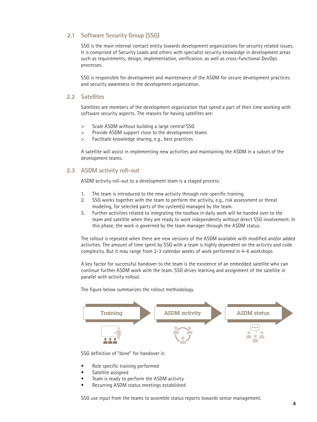#### <span id="page-3-0"></span>**2.1 Software Security Group (SSG)**

SSG is the main internal contact entity towards development organizations for security related issues. It is comprised of Security Leads and others with specialist security knowledge in development areas such as requirements, design, implementation, verification, as well as cross-functional DevOps processes.

SSG is responsible for development and maintenance of the ASDM for secure development practices and security awareness in the development organization.

#### **2.2 Satellites**

Satellites are members of the development organization that spend a part of their time working with software security aspects. The reasons for having satellites are:

- > Scale ASDM without building a large central SSG
- > Provide ASDM support close to the development teams
- > Facilitate knowledge sharing, e.g., best practices

A satellite will assist in implementing new activities and maintaining the ASDM in a subset of the development teams.

#### **2.3 ASDM activity roll-out**

ASDM activity roll-out to a development team is a staged process:

- 1. The team is introduced to the new activity through role-specific training.
- 2. SSG works together with the team to perform the activity, e.g., risk assessment or threat modeling, for selected parts of the system(s) managed by the team.
- 3. Further activities related to integrating the toolbox in daily work will be handed over to the team and satellite when they are ready to work independently without direct SSG involvement. In this phase, the work is governed by the team manager through the ASDM status.

The rollout is repeated when there are new versions of the ASDM available with modified and/or added activities. The amount of time spent by SSG with a team is highly dependent on the activity and code complexity. But it may range from 2-3 calendar weeks of work performed in 4-6 workshops

A key factor for successful handover to the team is the existence of an embedded satellite who can continue further ASDM work with the team. SSG drives learning and assignment of the satellite in parallel with activity rollout.

The figure below summarizes the rollout methodology.



SSG definition of "done" for handover is:

- Role specific training performed
- Satellite assigned
- Team is ready to perform the ASDM activity
- Recurring ASDM status meetings established

SSG use input from the teams to assemble status reports towards senior management.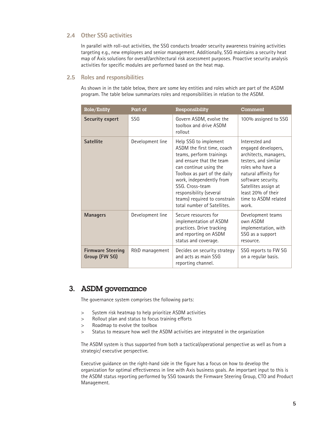#### <span id="page-4-0"></span>**2.4 Other SSG activities**

In parallel with roll-out activities, the SSG conducts broader security awareness training activities targeting e.g., new employees and senior management. Additionally, SSG maintains a security heat map of Axis solutions for overall/architectural risk assessment purposes. Proactive security analysis activities for specific modules are performed based on the heat map.

#### **2.5 Roles and responsibilities**

As shown in in the table below, there are some key entities and roles which are part of the ASDM program. The table below summarizes roles and responsibilities in relation to the ASDM.

| Role/Entity                               | Part of<br>Responsibility |                                                                                                                                                                                                                                                                                                                | Comment                                                                                                                                                                                                                                 |
|-------------------------------------------|---------------------------|----------------------------------------------------------------------------------------------------------------------------------------------------------------------------------------------------------------------------------------------------------------------------------------------------------------|-----------------------------------------------------------------------------------------------------------------------------------------------------------------------------------------------------------------------------------------|
| <b>Security expert</b>                    | SSG                       | Govern ASDM, evolve the<br>toolbox and drive ASDM<br>rollout                                                                                                                                                                                                                                                   | 100% assigned to SSG                                                                                                                                                                                                                    |
| <b>Satellite</b>                          | Development line          | Help SSG to implement<br>ASDM the first time, coach<br>teams, perform trainings<br>and ensure that the team<br>can continue using the<br>Toolbox as part of the daily<br>work, independently from<br>SSG. Cross-team<br>responsibility (several<br>teams) required to constrain<br>total number of Satellites. | Interested and<br>engaged developers,<br>architects, managers,<br>testers, and similar<br>roles who have a<br>natural affinity for<br>software security.<br>Satellites assign at<br>least 20% of their<br>time to ASDM related<br>work. |
| <b>Managers</b>                           | Development line          | Secure resources for<br>implementation of ASDM<br>practices. Drive tracking<br>and reporting on ASDM<br>status and coverage.                                                                                                                                                                                   | Development teams<br>own ASDM<br>implementation, with<br>SSG as a support<br>resource.                                                                                                                                                  |
| <b>Firmware Steering</b><br>Group (FW SG) | R&D management            | Decides on security strategy<br>and acts as main SSG<br>reporting channel.                                                                                                                                                                                                                                     | SSG reports to FW SG<br>on a regular basis.                                                                                                                                                                                             |

### 3. ASDM governance

The governance system comprises the following parts:

- > System risk heatmap to help prioritize ASDM activities
- > Rollout plan and status to focus training efforts
- > Roadmap to evolve the toolbox
- > Status to measure how well the ASDM activities are integrated in the organization

The ASDM system is thus supported from both a tactical/operational perspective as well as from a strategic/ executive perspective.

Executive guidance on the right-hand side in the figure has a focus on how to develop the organization for optimal effectiveness in line with Axis business goals. An important input to this is the ASDM status reporting performed by SSG towards the Firmware Steering Group, CTO and Product Management.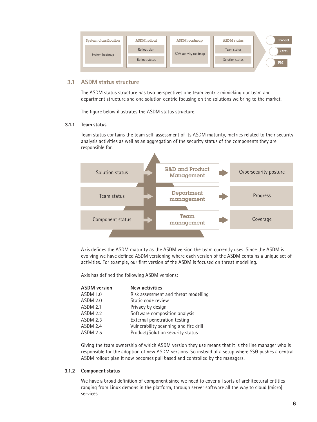<span id="page-5-0"></span>

#### **3.1 ASDM status structure**

The ASDM status structure has two perspectives one team centric mimicking our team and department structure and one solution centric focusing on the solutions we bring to the market.

The figure below illustrates the ASDM status structure.

#### **3.1.1 Team status**

Team status contains the team self-assessment of its ASDM maturity, metrics related to their security analysis activities as well as an aggregation of the security status of the components they are responsible for.



Axis defines the ASDM maturity as the ASDM version the team currently uses. Since the ASDM is evolving we have defined ASDM versioning where each version of the ASDM contains a unique set of activities. For example, our first version of the ASDM is focused on threat modelling.

Axis has defined the following ASDM versions:

| <b>ASDM</b> version | <b>New activities</b>                 |
|---------------------|---------------------------------------|
| <b>ASDM 1.0</b>     | Risk assessment and threat modelling  |
| <b>ASDM 2.0</b>     | Static code review                    |
| <b>ASDM 2.1</b>     | Privacy by design                     |
| <b>ASDM 2.2</b>     | Software composition analysis         |
| <b>ASDM 2.3</b>     | External penetration testing          |
| <b>ASDM 2.4</b>     | Vulnerability scanning and fire drill |
| <b>ASDM 2.5</b>     | Product/Solution security status      |
|                     |                                       |

Giving the team ownership of which ASDM version they use means that it is the line manager who is responsible for the adoption of new ASDM versions. So instead of a setup where SSG pushes a central ASDM rollout plan it now becomes pull based and controlled by the managers.

#### **3.1.2 Component status**

We have a broad definition of component since we need to cover all sorts of architectural entities ranging from Linux demons in the platform, through server software all the way to cloud (micro) services.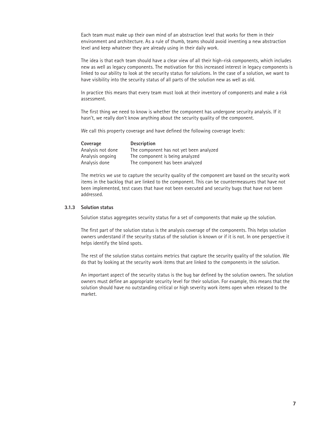Each team must make up their own mind of an abstraction level that works for them in their environment and architecture. As a rule of thumb, teams should avoid inventing a new abstraction level and keep whatever they are already using in their daily work.

The idea is that each team should have a clear view of all their high-risk components, which includes new as well as legacy components. The motivation for this increased interest in legacy components is linked to our ability to look at the security status for solutions. In the case of a solution, we want to have visibility into the security status of all parts of the solution new as well as old.

In practice this means that every team must look at their inventory of components and make a risk assessment.

The first thing we need to know is whether the component has undergone security analysis. If it hasn't, we really don't know anything about the security quality of the component.

We call this property coverage and have defined the following coverage levels:

| Coverage          | <b>Description</b>                      |
|-------------------|-----------------------------------------|
| Analysis not done | The component has not yet been analyzed |
| Analysis ongoing  | The component is being analyzed         |
| Analysis done     | The component has been analyzed         |

The metrics we use to capture the security quality of the component are based on the security work items in the backlog that are linked to the component. This can be countermeasures that have not been implemented, test cases that have not been executed and security bugs that have not been addressed.

#### **3.1.3 Solution status**

Solution status aggregates security status for a set of components that make up the solution.

The first part of the solution status is the analysis coverage of the components. This helps solution owners understand if the security status of the solution is known or if it is not. In one perspective it helps identify the blind spots.

The rest of the solution status contains metrics that capture the security quality of the solution. We do that by looking at the security work items that are linked to the components in the solution.

An important aspect of the security status is the bug bar defined by the solution owners. The solution owners must define an appropriate security level for their solution. For example, this means that the solution should have no outstanding critical or high severity work items open when released to the market.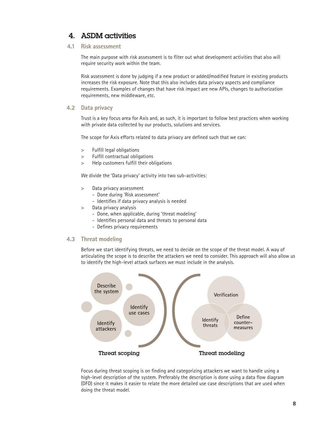## <span id="page-7-0"></span>4. ASDM activities

**4.1 Risk assessment**

The main purpose with risk assessment is to filter out what development activities that also will require security work within the team.

Risk assessment is done by judging if a new product or added/modified feature in existing products increases the risk exposure. Note that this also includes data privacy aspects and compliance requirements. Examples of changes that have risk impact are new APIs, changes to authorization requirements, new middleware, etc.

#### **4.2 Data privacy**

Trust is a key focus area for Axis and, as such, it is important to follow best practices when working with private data collected by our products, solutions and services.

The scope for Axis efforts related to data privacy are defined such that we can:

- > Fulfill legal obligations
- > Fulfill contractual obligations
- > Help customers fulfill their obligations

We divide the 'Data privacy' activity into two sub-activities:

- > Data privacy assessment
	- Done during 'Risk assessment'
	- Identifies if data privacy analysis is needed
- > Data privacy analysis
	- Done, when applicable, during 'threat modeling'
	- Identifies personal data and threats to personal data
	- Defines privacy requirements

#### **4.3 Threat modeling**

Before we start identifying threats, we need to decide on the scope of the threat model. A way of articulating the scope is to describe the attackers we need to consider. This approach will also allow us to identify the high-level attack surfaces we must include in the analysis.



Focus during threat scoping is on finding and categorizing attackers we want to handle using a high-level description of the system. Preferably the description is done using a data flow diagram (DFD) since it makes it easier to relate the more detailed use case descriptions that are used when doing the threat model.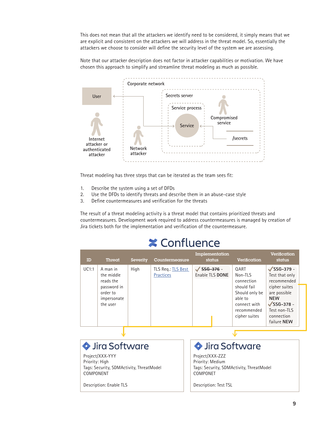This does not mean that all the attackers we identify need to be considered, it simply means that we are explicit and consistent on the attackers we will address in the threat model. So, essentially the attackers we choose to consider will define the security level of the system we are assessing.

Note that our attacker description does not factor in attacker capabilities or motivation. We have chosen this approach to simplify and streamline threat modeling as much as possible.



Threat modeling has three steps that can be iterated as the team sees fit:

- 1. Describe the system using a set of DFDs
- 2. Use the DFDs to identify threats and describe them in an abuse-case style
- 3. Define countermeasures and verification for the threats

The result of a threat modeling activity is a threat model that contains prioritized threats and countermeasures. Development work required to address countermeasures is managed by creation of Jira tickets both for the implementation and verification of the countermeasure.

| ID                                                                                         | Threat<br><b>Severity</b><br>Countermeasure                                               |      | Implementation<br>status                                                                    |                                           | Verification | Verification<br>status                                                                                                           |                                                                                                                                                                                     |
|--------------------------------------------------------------------------------------------|-------------------------------------------------------------------------------------------|------|---------------------------------------------------------------------------------------------|-------------------------------------------|--------------|----------------------------------------------------------------------------------------------------------------------------------|-------------------------------------------------------------------------------------------------------------------------------------------------------------------------------------|
| UC1:1                                                                                      | A man in<br>the middle<br>reads the<br>password in<br>order to<br>impersonate<br>the user | High | TLS Req.: TLS Best<br><b>Practices</b>                                                      | SSG-376 -<br>$\sqrt{}$<br>Enable TLS DONE |              | <b>QART</b><br>Non-TLS<br>connection<br>should fail<br>Should only be<br>able to<br>connect with<br>recommended<br>cipher suites | $\sqrt{\text{SSG}-379}$ -<br>Test that only<br>recommended<br>cipher suites<br>are possible<br><b>NEW</b><br>$\sqrt{\text{SSG}-378}$ -<br>Test non-TLS<br>connection<br>failure NEW |
|                                                                                            |                                                                                           |      |                                                                                             |                                           |              |                                                                                                                                  |                                                                                                                                                                                     |
| Sira Software                                                                              |                                                                                           |      | Sira Software                                                                               |                                           |              |                                                                                                                                  |                                                                                                                                                                                     |
| Project/XXX-YYY<br>Priority: High<br>Tags: Security, SDMActivity, ThreatModel<br>COMPONENT |                                                                                           |      | Project/XXX-ZZZ<br>Priority: Medium<br>Tags: Security, SDMActivity, ThreatModel<br>COMPONET |                                           |              |                                                                                                                                  |                                                                                                                                                                                     |
| Description: Enable TLS                                                                    |                                                                                           |      |                                                                                             | Description: Test TSL                     |              |                                                                                                                                  |                                                                                                                                                                                     |

# $\geq$  Confluence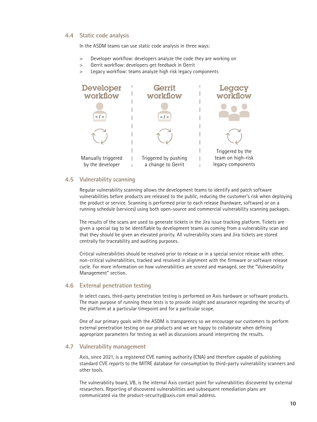#### <span id="page-9-0"></span>**4.4 Static code analysis**

In the ASDM teams can use static code analysis in three ways:

- > Developer workflow: developers analyze the code they are working on
- > Gerrit workflow: developers get feedback in Gerrit
- Legacy workflow: teams analyze high risk legacy components



#### **4.5 Vulnerability scanning**

Regular vulnerability scanning allows the development teams to identify and patch software vulnerabilities before products are released to the public, reducing the customer's risk when deploying the product or service. Scanning is performed prior to each release (hardware, software) or on a running schedule (services) using both open-source and commercial vulnerability scanning packages.

The results of the scans are used to generate tickets in the Jira issue tracking platform. Tickets are given a special tag to be identifiable by development teams as coming from a vulnerability scan and that they should be given an elevated priority. All vulnerability scans and Jira tickets are stored centrally for traceability and auditing purposes.

Critical vulnerabilities should be resolved prior to release or in a special service release with other, non-critical vulnerabilities, tracked and resolved in alignment with the firmware or software release cycle. For more information on how vulnerabilities are scored and managed, see the "Vulnerability Management" section.

#### **4.6 External penetration testing**

In select cases, third-party penetration testing is performed on Axis hardware or software products. The main purpose of running these tests is to provide insight and assurance regarding the security of the platform at a particular timepoint and for a particular scope.

One of our primary goals with the ASDM is transparency so we encourage our customers to perform external penetration testing on our products and we are happy to collaborate when defining appropriate parameters for testing as well as discussions around interpreting the results.

#### **4.7 Vulnerability management**

Axis, since 2021, is a registered CVE naming authority (CNA) and therefore capable of publishing standard CVE reports to the MITRE database for consumption by third-party vulnerability scanners and other tools.

The vulnerability board, VB, is the internal Axis contact point for vulnerabilities discovered by external researchers. Reporting of discovered vulnerabilities and subsequent remediation plans are communicated via the product-security@axis.com email address.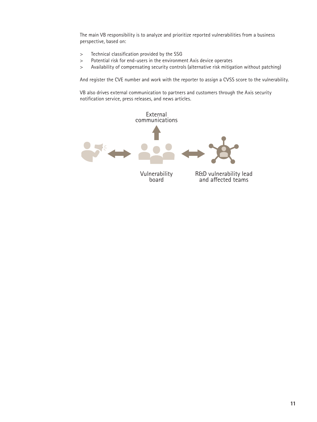The main VB responsibility is to analyze and prioritize reported vulnerabilities from a business perspective, based on:

- > Technical classification provided by the SSG
- > Potential risk for end-users in the environment Axis device operates
- > Availability of compensating security controls (alternative risk mitigation without patching)

And register the CVE number and work with the reporter to assign a CVSS score to the vulnerability.

VB also drives external communication to partners and customers through the Axis security notification service, press releases, and news articles.



Vulnerability board

and affected teams